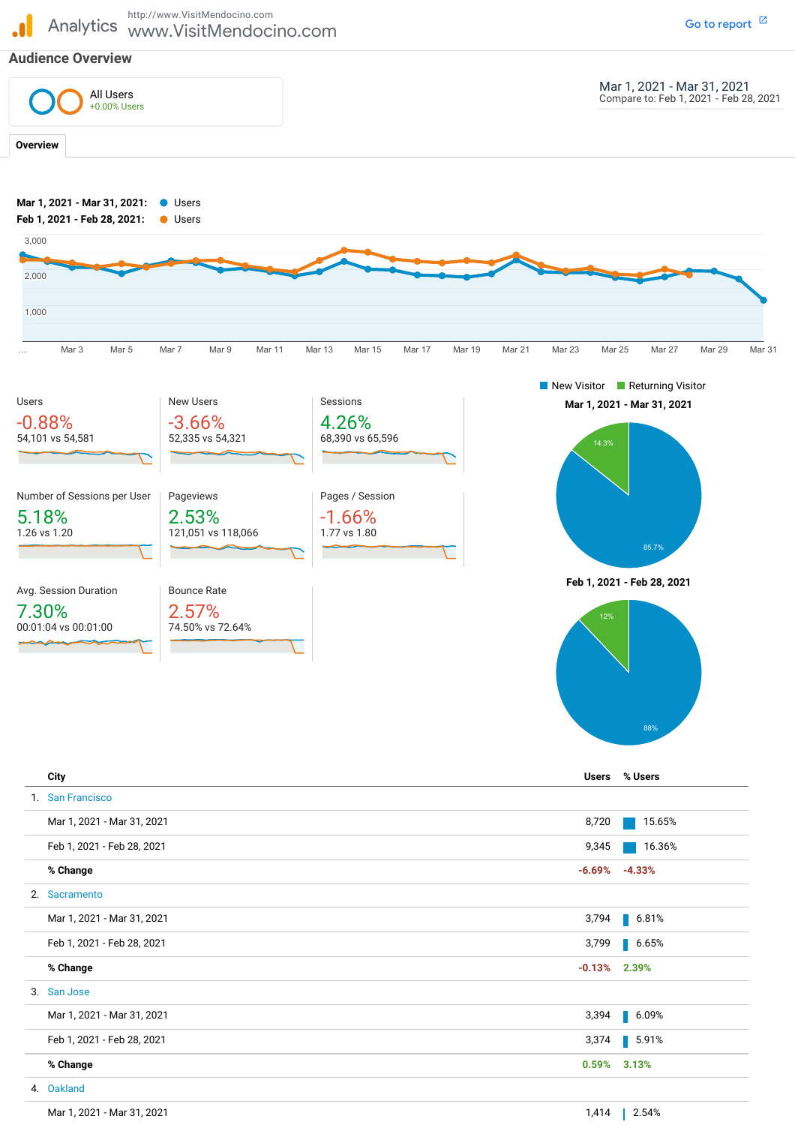Analytics www.VisitMendocino.com http://www.VisitMendocino.com Go to [report](https://analytics.google.com/analytics/web/?authuser=1&utm_source=pdfReportLink#/report/visitors-overview/a12867652w27377511p26078957/_u.date00=20210301&_u.date01=20210331&_u.date10=20210201&_u.date11=20210228&overview-dimensionSummary.selectedGroup=demographics&overview-dimensionSummary.selectedDimension=analytics.city)  $\boxtimes$ **Audience Overview** Mar 1, 2021 - Mar 31, 2021 Compare to: Feb 1, 2021 - Feb 28, 2021 **Overview Mar 1, 2021 - Mar 31, 2021 Feb 1, 2021 - Feb 28, 2021 Mar 1, 2021 - Mar 31, 2021:** Users **Feb 1, 2021 - Feb 28, 2021:** Users … Mar3 Mar5 Mar7 Mar9 Mar11 Mar13 Mar15 Mar17 Mar19 Mar21 Mar23 Mar25 Mar27 Mar29 Mar31 . 1,000 2,000 3,000 Users -0.88% 54,101 vs 54,581 New Users -3.66% 52,335 vs 54,321 Sessions 4.26% 68,390 vs 65,596 Number of Sessions per User 5.18% 1.26 vs 1.20 Pageviews 2.53% 121,051 vs 118,066 Pages / Session -1.66% 1.77 vs 1.80 Avg. Session Duration 7.30% 00:01:04 vs 00:01:00 Bounce Rate 2.57% 74.50% vs 72.64% New Visitor **Returning Visitor** 85.7% 12% 88<sup>°</sup> All Users +0.00% Users

Mar 1, 2021 - Mar 31, 2021 Feb 1, 2021 - Feb 28, 2021 **% Change** Mar 1, 2021 - Mar 31, 2021 Feb 1, 2021 - Feb 28, 2021 **% Change** Mar 1, 2021 - Mar 31, 2021 Feb 1, 2021 - Feb 28, 2021 **% Change** Mar 1, 2021 - Mar 31, 2021 **City Users % Users** 1. San Francisco 8,720 15.65% 9,345 16.36% **-6.69% -4.33%** 2. Sacramento 3,794 6.81% 3,799 6.65% **-0.13% 2.39%** 3. San Jose 3,394 6.09% 3,374 5.91% **0.59% 3.13%** 4. Oakland 1,414 2.54%